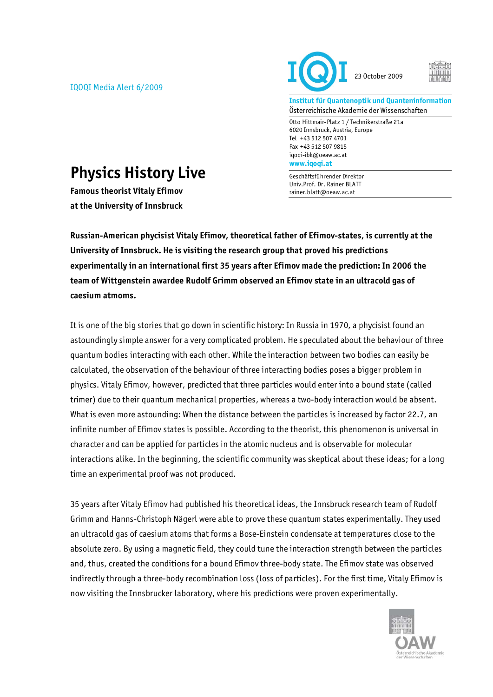IQOQI Media Alert 6/2009





**Institut für Quantenoptik und Quanteninformation**  Österreichische Akademie der Wissenschaften

Otto Hittmair-Platz 1 / Technikerstraße 21a 6020 Innsbruck, Austria, Europe Tel +43 512 507 4701 Fax +43 512 507 9815 iqoqi-ibk@oeaw.ac.at **www.iqoqi.at** 

Geschäftsführender Direktor Univ.Prof. Dr. Rainer BLATT rainer.blatt@oeaw.ac.at

## **Physics History Live**

**Famous theorist Vitaly Efimov at the University of Innsbruck** 

**Russian-American phycisist Vitaly Efimov, theoretical father of Efimov-states, is currently at the University of Innsbruck. He is visiting the research group that proved his predictions experimentally in an international first 35 years after Efimov made the prediction: In 2006 the team of Wittgenstein awardee Rudolf Grimm observed an Efimov state in an ultracold gas of caesium atmoms.** 

It is one of the big stories that go down in scientific history: In Russia in 1970, a phycisist found an astoundingly simple answer for a very complicated problem. He speculated about the behaviour of three quantum bodies interacting with each other. While the interaction between two bodies can easily be calculated, the observation of the behaviour of three interacting bodies poses a bigger problem in physics. Vitaly Efimov, however, predicted that three particles would enter into a bound state (called trimer) due to their quantum mechanical properties, whereas a two-body interaction would be absent. What is even more astounding: When the distance between the particles is increased by factor 22.7, an infinite number of Efimov states is possible. According to the theorist, this phenomenon is universal in character and can be applied for particles in the atomic nucleus and is observable for molecular interactions alike. In the beginning, the scientific community was skeptical about these ideas; for a long time an experimental proof was not produced.

35 years after Vitaly Efimov had published his theoretical ideas, the Innsbruck research team of Rudolf Grimm and Hanns-Christoph Nägerl were able to prove these quantum states experimentally. They used an ultracold gas of caesium atoms that forms a Bose-Einstein condensate at temperatures close to the absolute zero. By using a magnetic field, they could tune the interaction strength between the particles and, thus, created the conditions for a bound Efimov three-body state. The Efimov state was observed indirectly through a three-body recombination loss (loss of particles). For the first time, Vitaly Efimov is now visiting the Innsbrucker laboratory, where his predictions were proven experimentally.